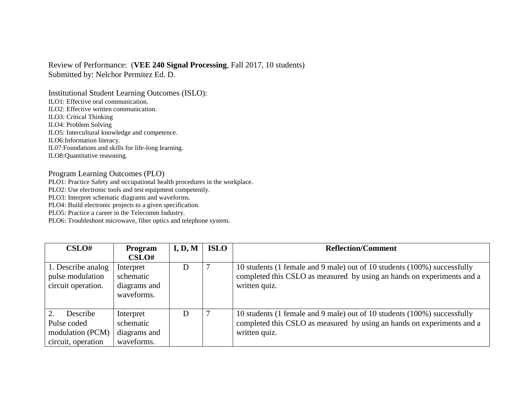## Review of Performance: (**VEE 240 Signal Processing**, Fall 2017, 10 students) Submitted by: Nelchor Permitez Ed. D.

Institutional Student Learning Outcomes (ISLO): ILO1: Effective oral communication. ILO2: Effective written communication. ILO3: Critical Thinking ILO4: Problem Solving ILO5: Intercultural knowledge and competence. ILO6:Information literacy. IL07:Foundations and skills for life-long learning. ILO8:Quantitative reasoning.

## Program Learning Outcomes (PLO)

PLO1: Practice Safety and occupational health procedures in the workplace.

PLO2: Use electronic tools and test equipment competently.

PLO3: Interpret schematic diagrams and waveforms.

PLO4: Build electronic projects to a given specification.

PLO5: Practice a career in the Telecomm Industry.

PLO6: Troubleshoot microwave, fiber optics and telephone system.

| CSLO#                                                             | Program                                              | I, D, M | <b>ISLO</b> | <b>Reflection/Comment</b>                                                                                                                                           |
|-------------------------------------------------------------------|------------------------------------------------------|---------|-------------|---------------------------------------------------------------------------------------------------------------------------------------------------------------------|
|                                                                   | CSLO#                                                |         |             |                                                                                                                                                                     |
| 1. Describe analog<br>pulse modulation<br>circuit operation.      | Interpret<br>schematic<br>diagrams and<br>waveforms. | D       |             | 10 students (1 female and 9 male) out of 10 students (100%) successfully<br>completed this CSLO as measured by using an hands on experiments and a<br>written quiz. |
| Describe<br>Pulse coded<br>modulation (PCM)<br>circuit, operation | Interpret<br>schematic<br>diagrams and<br>waveforms. | D       |             | 10 students (1 female and 9 male) out of 10 students (100%) successfully<br>completed this CSLO as measured by using an hands on experiments and a<br>written quiz. |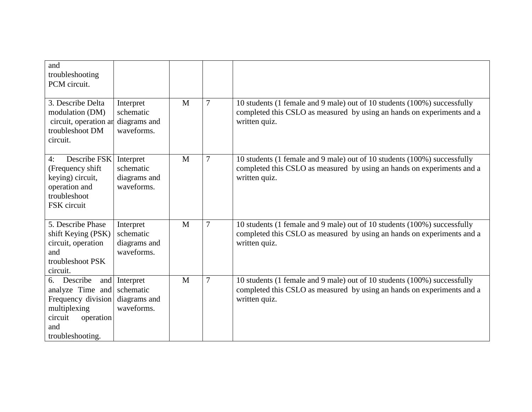| and<br>troubleshooting<br>PCM circuit.                                                                                      |                                                          |   |                |                                                                                                                                                                     |
|-----------------------------------------------------------------------------------------------------------------------------|----------------------------------------------------------|---|----------------|---------------------------------------------------------------------------------------------------------------------------------------------------------------------|
| 3. Describe Delta<br>modulation (DM)<br>circuit, operation ar<br>troubleshoot DM<br>circuit.                                | Interpret<br>schematic<br>diagrams and<br>waveforms.     | M | $\overline{7}$ | 10 students (1 female and 9 male) out of 10 students (100%) successfully<br>completed this CSLO as measured by using an hands on experiments and a<br>written quiz. |
| Describe FSK<br>4:<br>(Frequency shift)<br>keying) circuit,<br>operation and<br>troubleshoot<br>FSK circuit                 | Interpret<br>schematic<br>diagrams and<br>waveforms.     | M | $\overline{7}$ | 10 students (1 female and 9 male) out of 10 students (100%) successfully<br>completed this CSLO as measured by using an hands on experiments and a<br>written quiz. |
| 5. Describe Phase<br>shift Keying (PSK)<br>circuit, operation<br>and<br>troubleshoot PSK<br>circuit.                        | Interpret<br>schematic<br>diagrams and<br>waveforms.     | M | $\overline{7}$ | 10 students (1 female and 9 male) out of 10 students (100%) successfully<br>completed this CSLO as measured by using an hands on experiments and a<br>written quiz. |
| Describe<br>6.<br>analyze Time and<br>Frequency division<br>multiplexing<br>circuit<br>operation<br>and<br>troubleshooting. | and Interpret<br>schematic<br>diagrams and<br>waveforms. | M | $\overline{7}$ | 10 students (1 female and 9 male) out of 10 students (100%) successfully<br>completed this CSLO as measured by using an hands on experiments and a<br>written quiz. |